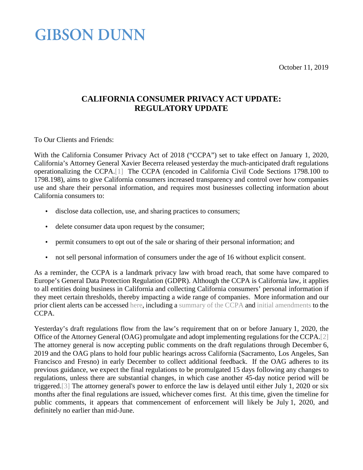<span id="page-0-1"></span>October 11, 2019

# **GIBSON DUNN**

### <span id="page-0-0"></span>**CALIFORNIA CONSUMER PRIVACY ACT UPDATE: REGULATORY UPDATE**

To Our Clients and Friends:

With the California Consumer Privacy Act of 2018 ("CCPA") set to take effect on January 1, 2020, California's Attorney General Xavier Becerra released yesterday the much-anticipated draft regulations operationalizing the CCPA[.\[1\]](#page-3-0) The CCPA (encoded in California Civil Code Sections 1798.100 to 1798.198), aims to give California consumers increased transparency and control over how companies use and share their personal information, and requires most businesses collecting information about California consumers to:

- disclose data collection, use, and sharing practices to consumers;
- delete consumer data upon request by the consumer; ä,
- permit consumers to opt out of the sale or sharing of their personal information; and  $\ddot{\phantom{0}}$
- not sell personal information of consumers under the age of 16 without explicit consent. t,

As a reminder, the CCPA is a landmark privacy law with broad reach, that some have compared to Europe's General Data Protection Regulation (GDPR). Although the CCPA is California law, it applies to all entities doing business in California and collecting California consumers' personal information if they meet certain thresholds, thereby impacting a wide range of companies. More information and our prior client alerts can be accessed [here,](https://www.gibsondunn.com/category/publications/) including a [summary of the CCPA](https://www.gibsondunn.com/california-consumer-privacy-act-of-2018/) and [initial amendments](https://www.gibsondunn.com/new-california-security-of-connected-devices-law-and-ccpa-amendments/) to the CCPA.

<span id="page-0-2"></span>Yesterday's draft regulations flow from the law's requirement that on or before January 1, 2020, the Office of the Attorney General (OAG) promulgate and adopt implementing regulations for the CCPA[.\[2\]](#page-3-1) The attorney general is now accepting public comments on the draft regulations through December 6, 2019 and the OAG plans to hold four public hearings across California (Sacramento, Los Angeles, San Francisco and Fresno) in early December to collect additional feedback. If the OAG adheres to its previous guidance, we expect the final regulations to be promulgated 15 days following any changes to regulations, unless there are substantial changes, in which case another 45-day notice period will be triggered[.\[3\]](#page-3-2) The attorney general's power to enforce the law is delayed until either July 1, 2020 or six months after the final regulations are issued, whichever comes first. At this time, given the timeline for public comments, it appears that commencement of enforcement will likely be July 1, 2020, and definitely no earlier than mid-June.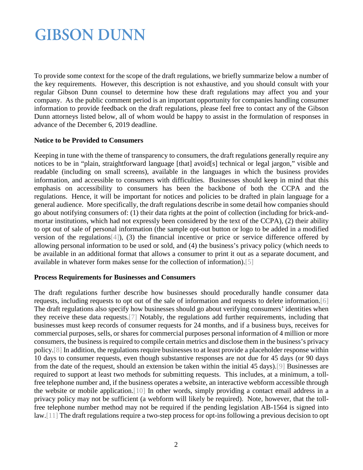To provide some context for the scope of the draft regulations, we briefly summarize below a number of the key requirements. However, this description is not exhaustive, and you should consult with your regular Gibson Dunn counsel to determine how these draft regulations may affect you and your company. As the public comment period is an important opportunity for companies handling consumer information to provide feedback on the draft regulations, please feel free to contact any of the Gibson Dunn attorneys listed below, all of whom would be happy to assist in the formulation of responses in advance of the December 6, 2019 deadline.

#### **Notice to be Provided to Consumers**

Keeping in tune with the theme of transparency to consumers, the draft regulations generally require any notices to be in "plain, straightforward language [that] avoid[s] technical or legal jargon," visible and readable (including on small screens), available in the languages in which the business provides information, and accessible to consumers with difficulties. Businesses should keep in mind that this emphasis on accessibility to consumers has been the backbone of both the CCPA and the regulations. Hence, it will be important for notices and policies to be drafted in plain language for a general audience. More specifically, the draft regulations describe in some detail how companies should go about notifying consumers of: (1) their data rights at the point of collection (including for brick-andmortar institutions, which had not expressly been considered by the text of the CCPA), (2) their ability to opt out of sale of personal information (the sample opt-out button or logo to be added in a modified version of the regulations [4]), (3) the financial incentive or price or service difference offered by allowing personal information to be used or sold, and (4) the business's privacy policy (which needs to be available in an additional format that allows a consumer to print it out as a separate document, and available in whatever form makes sense for the collection of information)[.\[5\]](#page-3-4)

### <span id="page-1-1"></span><span id="page-1-0"></span>**Process Requirements for Businesses and Consumers**

<span id="page-1-7"></span><span id="page-1-6"></span><span id="page-1-5"></span><span id="page-1-4"></span><span id="page-1-3"></span><span id="page-1-2"></span>The draft regulations further describe how businesses should procedurally handle consumer data requests, including requests to opt out of the sale of information and requests to delete information[.\[6\]](#page-3-5) The draft regulations also specify how businesses should go about verifying consumers' identities when they receive these data requests[.\[7\]](#page-3-6) Notably, the regulations add further requirements, including that businesses must keep records of consumer requests for 24 months, and if a business buys, receives for commercial purposes, sells, or shares for commercial purposes personal information of 4 million or more consumers, the business is required to compile certain metrics and disclose them in the business's privacy policy[.\[8\]](#page-3-7) In addition, the regulations require businesses to at least provide a placeholder response within 10 days to consumer requests, even though substantive responses are not due for 45 days (or 90 days from the date of the request, should an extension be taken within the initial 45 days)[.\[9\]](#page-3-8) Businesses are required to support at least two methods for submitting requests. This includes, at a minimum, a tollfree telephone number and, if the business operates a website, an interactive webform accessible through the website or mobile application[.\[10\]](#page-3-9) In other words, simply providing a contact email address in a privacy policy may not be sufficient (a webform will likely be required). Note, however, that the tollfree telephone number method may not be required if the pending legislation AB-1564 is signed into law[.\[11\]](#page-3-10) The draft regulations require a two-step process for opt-ins following a previous decision to opt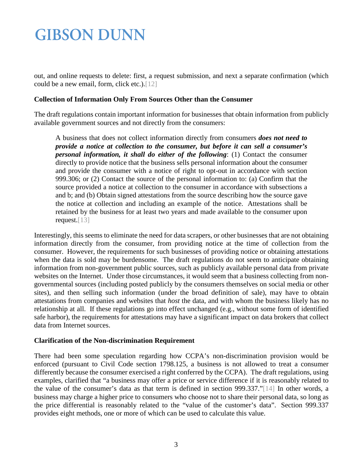out, and online requests to delete: first, a request submission, and next a separate confirmation (which could be a new email, form, click etc.)[.\[12\]](#page-3-11)

### **Collection of Information Only From Sources Other than the Consumer**

The draft regulations contain important information for businesses that obtain information from publicly available government sources and not directly from the consumers:

<span id="page-2-0"></span>A business that does not collect information directly from consumers *does not need to provide a notice at collection to the consumer, but before it can sell a consumer's personal information, it shall do either of the following*: (1) Contact the consumer directly to provide notice that the business sells personal information about the consumer and provide the consumer with a notice of right to opt-out in accordance with section 999.306; or (2) Contact the source of the personal information to: (a) Confirm that the source provided a notice at collection to the consumer in accordance with subsections a and b; and (b) Obtain signed attestations from the source describing how the source gave the notice at collection and including an example of the notice. Attestations shall be retained by the business for at least two years and made available to the consumer upon request[.\[13\]](#page-4-0)

<span id="page-2-1"></span>Interestingly, this seems to eliminate the need for data scrapers, or other businesses that are not obtaining information directly from the consumer, from providing notice at the time of collection from the consumer. However, the requirements for such businesses of providing notice or obtaining attestations when the data is sold may be burdensome. The draft regulations do not seem to anticipate obtaining information from non-government public sources, such as publicly available personal data from private websites on the Internet. Under those circumstances, it would seem that a business collecting from nongovernmental sources (including posted publicly by the consumers themselves on social media or other sites), and then selling such information (under the broad definition of sale), may have to obtain attestations from companies and websites that *host* the data, and with whom the business likely has no relationship at all. If these regulations go into effect unchanged (e.g., without some form of identified safe harbor), the requirements for attestations may have a significant impact on data brokers that collect data from Internet sources.

### **Clarification of the Non-discrimination Requirement**

<span id="page-2-2"></span>There had been some speculation regarding how CCPA's non-discrimination provision would be enforced (pursuant to Civil Code section 1798.125, a business is not allowed to treat a consumer differently because the consumer exercised a right conferred by the CCPA). The draft regulations, using examples, clarified that "a business may offer a price or service difference if it is reasonably related to the value of the consumer's data as that term is defined in section 999.337.["\[14\]](#page-4-1) In other words, a business may charge a higher price to consumers who choose not to share their personal data, so long as the price differential is reasonably related to the "value of the customer's data". Section 999.337 provides eight methods, one or more of which can be used to calculate this value.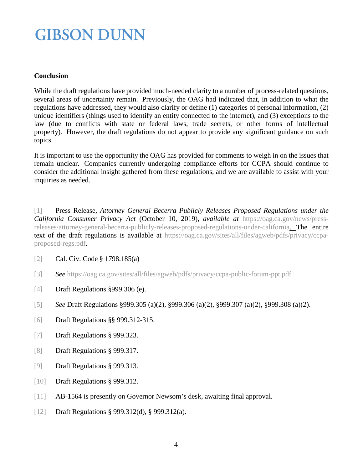### **Conclusion**

While the draft regulations have provided much-needed clarity to a number of process-related questions, several areas of uncertainty remain. Previously, the OAG had indicated that, in addition to what the regulations have addressed, they would also clarify or define (1) categories of personal information, (2) unique identifiers (things used to identify an entity connected to the internet), and (3) exceptions to the law (due to conflicts with state or federal laws, trade secrets, or other forms of intellectual property). However, the draft regulations do not appear to provide any significant guidance on such topics.

It is important to use the opportunity the OAG has provided for comments to weigh in on the issues that remain unclear. Companies currently undergoing compliance efforts for CCPA should continue to consider the additional insight gathered from these regulations, and we are available to assist with your inquiries as needed.

<span id="page-3-0"></span>\_\_\_\_\_\_\_\_\_\_\_\_\_\_\_\_\_\_\_\_\_\_\_\_\_\_\_

- [\[3\]](#page-0-2) *See* <https://oag.ca.gov/sites/all/files/agweb/pdfs/privacy/ccpa-public-forum-ppt.pdf>
- <span id="page-3-3"></span>[\[4\]](#page-1-0) Draft Regulations §999.306 (e).
- <span id="page-3-4"></span>[\[5\]](#page-1-1) *See* Draft Regulations §999.305 (a)(2), §999.306 (a)(2), §999.307 (a)(2), §999.308 (a)(2).
- <span id="page-3-5"></span>[\[6\]](#page-1-2) Draft Regulations §§ 999.312-315.
- <span id="page-3-6"></span>[\[7\]](#page-1-3) Draft Regulations § 999.323.
- <span id="page-3-7"></span>[\[8\]](#page-1-4) Draft Regulations § 999.317.
- <span id="page-3-9"></span><span id="page-3-8"></span>[\[9\]](#page-1-5) Draft Regulations § 999.313.
- [\[10\]](#page-1-6) Draft Regulations § 999.312.
- <span id="page-3-10"></span>[\[11\]](#page-1-7) AB-1564 is presently on Governor Newsom's desk, awaiting final approval.
- <span id="page-3-11"></span>[\[12\]](#page-2-0) Draft Regulations § 999.312(d), § 999.312(a).

[<sup>\[1\]</sup>](#page-0-0) Press Release, *Attorney General Becerra Publicly Releases Proposed Regulations under the California Consumer Privacy Act* (October 10, 2019), *available at* [https://oag.ca.gov/news/press](https://oag.ca.gov/news/press-releases/attorney-general-becerra-publicly-releases-proposed-regulations-under-california)[releases/attorney-general-becerra-publicly-releases-proposed-regulations-under-california.](https://oag.ca.gov/news/press-releases/attorney-general-becerra-publicly-releases-proposed-regulations-under-california) The entire text of the draft regulations is available at [https://oag.ca.gov/sites/all/files/agweb/pdfs/privacy/ccpa](https://oag.ca.gov/sites/all/files/agweb/pdfs/privacy/ccpa-proposed-regs.pdf)[proposed-regs.pdf.](https://oag.ca.gov/sites/all/files/agweb/pdfs/privacy/ccpa-proposed-regs.pdf)

<span id="page-3-2"></span><span id="page-3-1"></span>[<sup>\[2\]</sup>](#page-0-1) Cal. Civ. Code § 1798.185(a)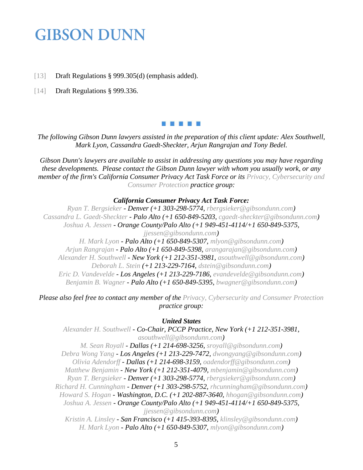- <span id="page-4-1"></span><span id="page-4-0"></span>[\[13\]](#page-2-1) Draft Regulations § 999.305(d) (emphasis added).
- [\[14\]](#page-2-2) Draft Regulations § 999.336.

#### 86 T 86 T 8

*The following Gibson Dunn lawyers assisted in the preparation of this client update: Alex Southwell, Mark Lyon, Cassandra Gaedt-Sheckter, Arjun Rangrajan and Tony Bedel.*

*Gibson Dunn's lawyers are available to assist in addressing any questions you may have regarding these developments. Please contact the Gibson Dunn lawyer with whom you usually work, or any member of the firm's California Consumer Privacy Act Task Force or its [Privacy, Cybersecurity and](https://www.gibsondunn.com/practice/privacy-cybersecurity-and-consumer-protection/)  [Consumer Protection](https://www.gibsondunn.com/practice/privacy-cybersecurity-and-consumer-protection/) practice group:*

#### *California Consumer Privacy Act Task Force:*

*[Ryan T. Bergsieker](https://www.gibsondunn.com/lawyer/bergsieker-ryan-t/) - Denver (+1 303-298-5774, [rbergsieker@gibsondunn.com\)](mailto:rbergsieker@gibsondunn.com) [Cassandra L. Gaedt-Sheckter](https://www.gibsondunn.com/lawyer/gaedt-sheckter-cassandra-l/) - Palo Alto (+1 650-849-5203, [cgaedt-sheckter@gibsondunn.com\)](mailto:cgaedt-sheckter@gibsondunn.com) [Joshua A. Jessen](https://www.gibsondunn.com/lawyer/jessen-joshua-a/) - Orange County/Palo Alto (+1 949-451-4114/+1 650-849-5375, [jjessen@gibsondunn.com\)](mailto:jjessen@gibsondunn.com) [H. Mark Lyon](https://www.gibsondunn.com/lawyer/lyon-h-mark/) - Palo Alto (+1 650-849-5307, [mlyon@gibsondunn.com\)](mailto:mlyon@gibsondunn.com) [Arjun Rangrajan](https://www.gibsondunn.com/lawyer/rangarajan-arjun/) - Palo Alto (+1 650-849-5398, [arangarajan@gibsondunn.com\)](mailto:arangarajan@gibsondunn.com) [Alexander H. Southwell](https://www.gibsondunn.com/lawyer/southwell-alexander-h/) - New York (+1 212-351-3981, [asouthwell@gibsondunn.com\)](mailto:asouthwell@gibsondunn.com) [Deborah L. Stein](https://www.gibsondunn.com/lawyer/stein-deborah-l/) (+1 213-229-7164, [dstein@gibsondunn.com\)](mailto:dstein@gibsondunn.com) [Eric D. Vandevelde](https://www.gibsondunn.com/lawyer/vandevelde-eric-d/) - Los Angeles (+1 213-229-7186, [evandevelde@gibsondunn.com\)](mailto:evandevelde@gibsondunn.com) [Benjamin B. Wagner](https://www.gibsondunn.com/lawyer/wagner-benjamin/) - Palo Alto (+1 650-849-5395, [bwagner@gibsondunn.com\)](mailto:bwagner@gibsondunn.com)*

*Please also feel free to contact any member of the [Privacy, Cybersecurity and Consumer Protection](https://www.gibsondunn.com/practice/privacy-cybersecurity-and-consumer-protection/)  practice group:*

#### *United States*

*[Alexander H. Southwell](https://www.gibsondunn.com/lawyer/southwell-alexander-h/) - Co-Chair, PCCP Practice, New York (+1 212-351-3981, [asouthwell@gibsondunn.com\)](mailto:asouthwell@gibsondunn.com)*

*[M. Sean Royall](https://www.gibsondunn.com/lawyer/royall-m-sean/) - Dallas (+1 214-698-3256, [sroyall@gibsondunn.com\)](mailto:sroyall@gibsondunn.com) [Debra Wong Yang](https://www.gibsondunn.com/lawyer/yang-debra-wong/) - Los Angeles (+1 213-229-7472, [dwongyang@gibsondunn.com\)](mailto:dwongyang@gibsondunn.com) [Olivia Adendorff](https://www.gibsondunn.com/lawyer/adendorff-olivia/) - Dallas (+1 214-698-3159, [oadendorff@gibsondunn.com\)](mailto:oadendorff@gibsondunn.com) [Matthew Benjamin](https://www.gibsondunn.com/lawyer/benjamin-matthew/) - New York (+1 212-351-4079, [mbenjamin@gibsondunn.com\)](mailto:mbenjamin@gibsondunn.com) [Ryan T. Bergsieker](https://www.gibsondunn.com/lawyer/bergsieker-ryan-t/) - Denver (+1 303-298-5774, [rbergsieker@gibsondunn.com\)](mailto:rbergsieker@gibsondunn.com) [Richard H. Cunningham](https://www.gibsondunn.com/lawyer/cunningham-richard-h/) - Denver (+1 303-298-5752, [rhcunningham@gibsondunn.com\)](mailto:rhcunningham@gibsondunn.com) [Howard S. Hogan](https://www.gibsondunn.com/lawyer/hogan-howard-s/) - Washington, D.C. (+1 202-887-3640, [hhogan@gibsondunn.com\)](mailto:hhogan@gibsondunn.com) [Joshua A. Jessen](https://www.gibsondunn.com/lawyer/jessen-joshua-a/) - Orange County/Palo Alto (+1 949-451-4114/+1 650-849-5375, [jjessen@gibsondunn.com\)](mailto:jjessen@gibsondunn.com) [Kristin A. Linsley](https://www.gibsondunn.com/lawyer/linsley-kristin-a/) - San Francisco (+1 415-393-8395, [klinsley@gibsondunn.com\)](mailto:klinsley@gibsondunn.com) [H. Mark Lyon](https://www.gibsondunn.com/lawyer/lyon-h-mark/) - Palo Alto (+1 650-849-5307, [mlyon@gibsondunn.com\)](mailto:mlyon@gibsondunn.com)*